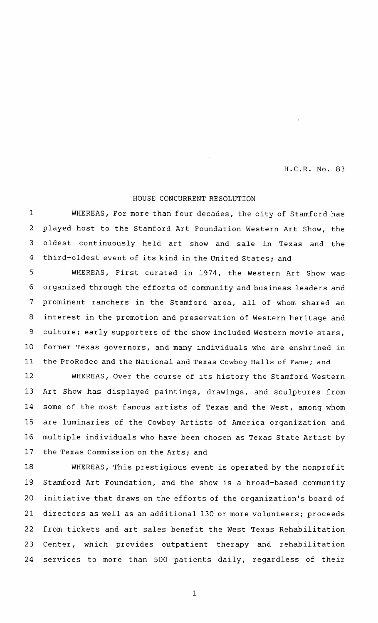H.C.R. No. 83

## HOUSE CONCURRENT RESOLUTION

WHEREAS, For more than four decades, the city of Stamford has played host to the Stamford Art Foundation Western Art Show, the oldest continuously held art show and sale in Texas and the third-oldest event of its kind in the United States; and 1 2 3 4

WHEREAS, First curated in 1974, the Western Art Show was organized through the efforts of community and business leaders and prominent ranchers in the Stamford area, all of whom shared an interest in the promotion and preservation of Western heritage and culture; early supporters of the show included Western movie stars, former Texas governors, and many individuals who are enshrined in the ProRodeo and the National and Texas Cowboy Halls of Fame; and 5 6 7 8 9 10 11

WHEREAS, Over the course of its history the Stamford Western Art Show has displayed paintings, drawings, and sculptures from some of the most famous artists of Texas and the West, among whom are luminaries of the Cowboy Artists of America organization and multiple individuals who have been chosen as Texas State Artist by the Texas Commission on the Arts; and 12 13 14 15 16 17

WHEREAS, This prestigious event is operated by the nonprofit Stamford Art Foundation, and the show is a broad-based community initiative that draws on the efforts of the organization's board of directors as well as an additional 130 or more volunteers; proceeds from tickets and art sales benefit the West Texas Rehabilitation Center, which provides outpatient therapy and rehabilitation services to more than 500 patients daily, regardless of their 18 19 20 21 22 23 24

1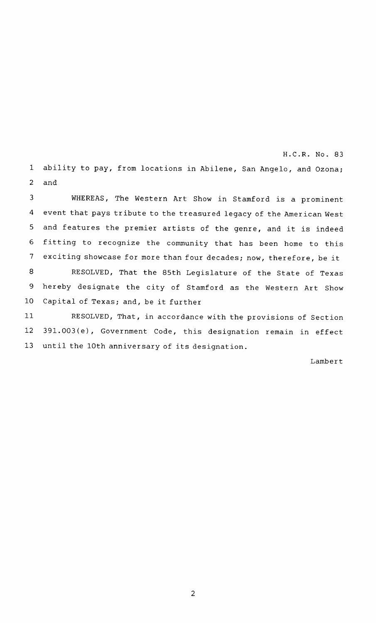H . C . **R .** No . 83 1 ability to pay, from locations in Abilene, San Angelo, and Ozona; and 2

WHEREAS, The Western Art Show in Stamford is <sup>a</sup> prominent event that pays tribute to the treasured legacy of the American West and features the premier artists of the genre, and it is indeed fitting to recognize the community that has been home to this exciting showcase for more than four decades; now, therefore, be it RESOLVED, That the 85th Legislature of the State of Texas hereby designate the city of Stamford as the Western Art Show Capital of Texas; and, be it further 3 4 5 6 7 8 9 10 11

RESOLVED, That, in accordance with the provisions of Section 391.003(e), Government Code, this designation remain in effect until the 10th anniversary of its designation. 12 13

Lambert

2